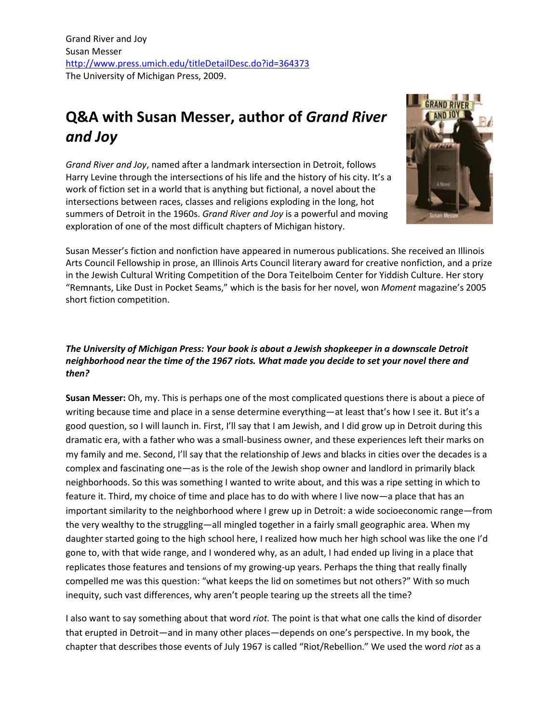# **Q&A with Susan Messer, author of** *Grand River and Joy*

*Grand River and Joy*, named after a landmark intersection in Detroit, follows Harry Levine through the intersections of his life and the history of his city. It's a work of fiction set in a world that is anything but fictional, a novel about the intersections between races, classes and religions exploding in the long, hot summers of Detroit in the 1960s. *Grand River and Joy* is a powerful and moving exploration of one of the most difficult chapters of Michigan history.



Susan Messer's fiction and nonfiction have appeared in numerous publications. She received an Illinois Arts Council Fellowship in prose, an Illinois Arts Council literary award for creative nonfiction, and a prize in the Jewish Cultural Writing Competition of the Dora Teitelboim Center for Yiddish Culture. Her story "Remnants, Like Dust in Pocket Seams," which is the basis for her novel, won *Moment* magazine's 2005 short fiction competition.

# *The University of Michigan Press: Your book is about a Jewish shopkeeper in a downscale Detroit neighborhood near the time of the 1967 riots. What made you decide to set your novel there and then?*

**Susan Messer:** Oh, my. This is perhaps one of the most complicated questions there is about a piece of writing because time and place in a sense determine everything—at least that's how I see it. But it's a good question, so I will launch in. First, I'll say that I am Jewish, and I did grow up in Detroit during this dramatic era, with a father who was a small-business owner, and these experiences left their marks on my family and me. Second, I'll say that the relationship of Jews and blacks in cities over the decades is a complex and fascinating one—as is the role of the Jewish shop owner and landlord in primarily black neighborhoods. So this was something I wanted to write about, and this was a ripe setting in which to feature it. Third, my choice of time and place has to do with where I live now—a place that has an important similarity to the neighborhood where I grew up in Detroit: a wide socioeconomic range—from the very wealthy to the struggling—all mingled together in a fairly small geographic area. When my daughter started going to the high school here, I realized how much her high school was like the one I'd gone to, with that wide range, and I wondered why, as an adult, I had ended up living in a place that replicates those features and tensions of my growing-up years. Perhaps the thing that really finally compelled me was this question: "what keeps the lid on sometimes but not others?" With so much inequity, such vast differences, why aren't people tearing up the streets all the time?

I also want to say something about that word *riot.* The point is that what one calls the kind of disorder that erupted in Detroit—and in many other places—depends on one's perspective. In my book, the chapter that describes those events of July 1967 is called "Riot/Rebellion." We used the word *riot* as a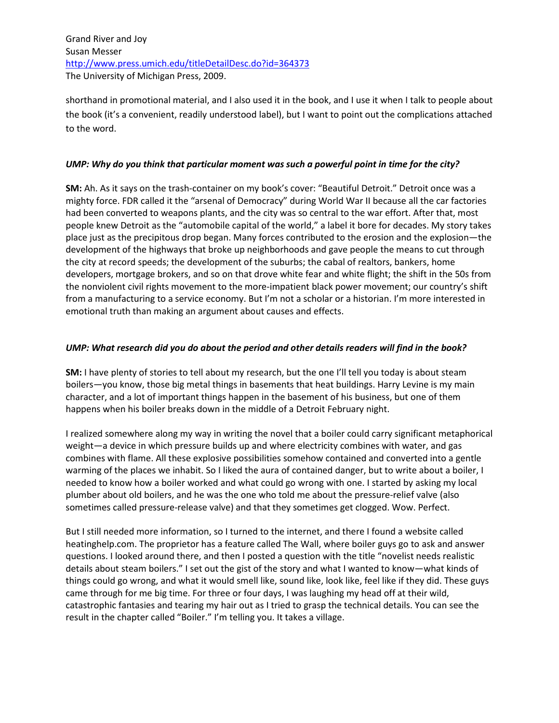shorthand in promotional material, and I also used it in the book, and I use it when I talk to people about the book (it's a convenient, readily understood label), but I want to point out the complications attached to the word.

#### *UMP: Why do you think that particular moment was such a powerful point in time for the city?*

**SM:** Ah. As it says on the trash-container on my book's cover: "Beautiful Detroit." Detroit once was a mighty force. FDR called it the "arsenal of Democracy" during World War II because all the car factories had been converted to weapons plants, and the city was so central to the war effort. After that, most people knew Detroit as the "automobile capital of the world," a label it bore for decades. My story takes place just as the precipitous drop began. Many forces contributed to the erosion and the explosion—the development of the highways that broke up neighborhoods and gave people the means to cut through the city at record speeds; the development of the suburbs; the cabal of realtors, bankers, home developers, mortgage brokers, and so on that drove white fear and white flight; the shift in the 50s from the nonviolent civil rights movement to the more-impatient black power movement; our country's shift from a manufacturing to a service economy. But I'm not a scholar or a historian. I'm more interested in emotional truth than making an argument about causes and effects.

### *UMP: What research did you do about the period and other details readers will find in the book?*

**SM:** I have plenty of stories to tell about my research, but the one I'll tell you today is about steam boilers—you know, those big metal things in basements that heat buildings. Harry Levine is my main character, and a lot of important things happen in the basement of his business, but one of them happens when his boiler breaks down in the middle of a Detroit February night.

I realized somewhere along my way in writing the novel that a boiler could carry significant metaphorical weight—a device in which pressure builds up and where electricity combines with water, and gas combines with flame. All these explosive possibilities somehow contained and converted into a gentle warming of the places we inhabit. So I liked the aura of contained danger, but to write about a boiler, I needed to know how a boiler worked and what could go wrong with one. I started by asking my local plumber about old boilers, and he was the one who told me about the pressure-relief valve (also sometimes called pressure-release valve) and that they sometimes get clogged. Wow. Perfect.

But I still needed more information, so I turned to the internet, and there I found a website called heatinghelp.com. The proprietor has a feature called The Wall, where boiler guys go to ask and answer questions. I looked around there, and then I posted a question with the title "novelist needs realistic details about steam boilers." I set out the gist of the story and what I wanted to know—what kinds of things could go wrong, and what it would smell like, sound like, look like, feel like if they did. These guys came through for me big time. For three or four days, I was laughing my head off at their wild, catastrophic fantasies and tearing my hair out as I tried to grasp the technical details. You can see the result in the chapter called "Boiler." I'm telling you. It takes a village.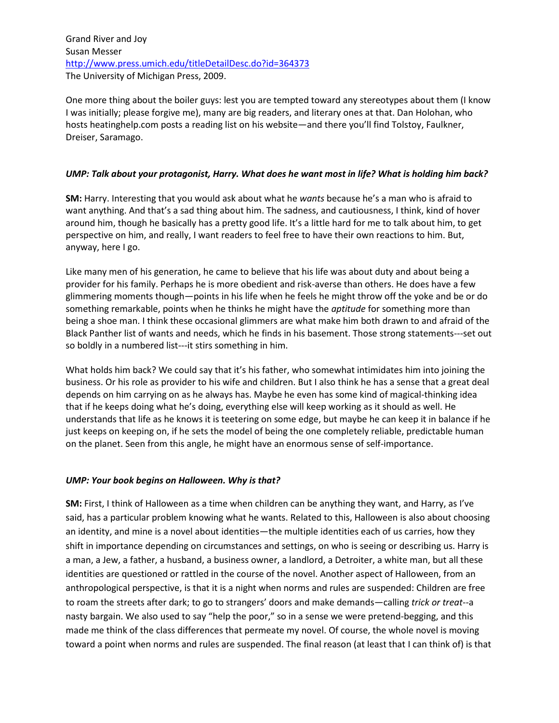One more thing about the boiler guys: lest you are tempted toward any stereotypes about them (I know I was initially; please forgive me), many are big readers, and literary ones at that. Dan Holohan, who hosts heatinghelp.com posts a reading list on his website—and there you'll find Tolstoy, Faulkner, Dreiser, Saramago.

#### *UMP: Talk about your protagonist, Harry. What does he want most in life? What is holding him back?*

**SM:** Harry. Interesting that you would ask about what he *wants* because he's a man who is afraid to want anything. And that's a sad thing about him. The sadness, and cautiousness, I think, kind of hover around him, though he basically has a pretty good life. It's a little hard for me to talk about him, to get perspective on him, and really, I want readers to feel free to have their own reactions to him. But, anyway, here I go.

Like many men of his generation, he came to believe that his life was about duty and about being a provider for his family. Perhaps he is more obedient and risk-averse than others. He does have a few glimmering moments though—points in his life when he feels he might throw off the yoke and be or do something remarkable, points when he thinks he might have the *aptitude* for something more than being a shoe man. I think these occasional glimmers are what make him both drawn to and afraid of the Black Panther list of wants and needs, which he finds in his basement. Those strong statements---set out so boldly in a numbered list---it stirs something in him.

What holds him back? We could say that it's his father, who somewhat intimidates him into joining the business. Or his role as provider to his wife and children. But I also think he has a sense that a great deal depends on him carrying on as he always has. Maybe he even has some kind of magical-thinking idea that if he keeps doing what he's doing, everything else will keep working as it should as well. He understands that life as he knows it is teetering on some edge, but maybe he can keep it in balance if he just keeps on keeping on, if he sets the model of being the one completely reliable, predictable human on the planet. Seen from this angle, he might have an enormous sense of self-importance.

#### *UMP: Your book begins on Halloween. Why is that?*

**SM:** First, I think of Halloween as a time when children can be anything they want, and Harry, as I've said, has a particular problem knowing what he wants. Related to this, Halloween is also about choosing an identity, and mine is a novel about identities—the multiple identities each of us carries, how they shift in importance depending on circumstances and settings, on who is seeing or describing us. Harry is a man, a Jew, a father, a husband, a business owner, a landlord, a Detroiter, a white man, but all these identities are questioned or rattled in the course of the novel. Another aspect of Halloween, from an anthropological perspective, is that it is a night when norms and rules are suspended: Children are free to roam the streets after dark; to go to strangers' doors and make demands—calling *trick or treat*--a nasty bargain. We also used to say "help the poor," so in a sense we were pretend-begging, and this made me think of the class differences that permeate my novel. Of course, the whole novel is moving toward a point when norms and rules are suspended. The final reason (at least that I can think of) is that